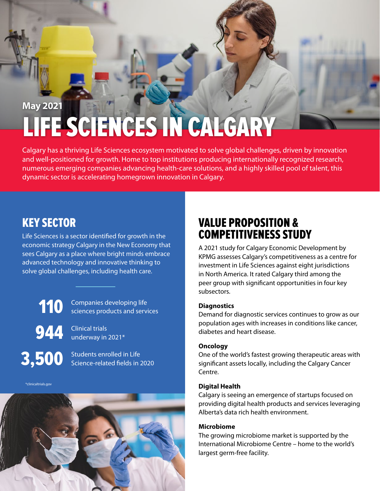# LIFE SCIENCES IN CALGARY **May 2021**

Calgary has a thriving Life Sciences ecosystem motivated to solve global challenges, driven by innovation and well-positioned for growth. Home to top institutions producing internationally recognized research, numerous emerging companies advancing health-care solutions, and a highly skilled pool of talent, this dynamic sector is accelerating homegrown innovation in Calgary.

## KEY SECTOR

Life Sciences is a sector identified for growth in the economic strategy Calgary in the New Economy that sees Calgary as a place where bright minds embrace advanced technology and innovative thinking to solve global challenges, including health care.

110 944 3,500

Companies developing life sciences products and services

Clinical trials underway in 2021\*

Students enrolled in Life Science-related fields in 2020

\*clinicaltrials.gov



# VALUE PROPOSITION & COMPETITIVENESS STUDY

A 2021 study for Calgary Economic Development by KPMG assesses Calgary's competitiveness as a centre for investment in Life Sciences against eight jurisdictions in North America. It rated Calgary third among the peer group with significant opportunities in four key subsectors.

#### **Diagnostics**

Demand for diagnostic services continues to grow as our population ages with increases in conditions like cancer, diabetes and heart disease.

#### **Oncology**

One of the world's fastest growing therapeutic areas with significant assets locally, including the Calgary Cancer Centre.

#### **Digital Health**

Calgary is seeing an emergence of startups focused on providing digital health products and services leveraging Alberta's data rich health environment.

#### **Microbiome**

The growing microbiome market is supported by the International Microbiome Centre – home to the world's largest germ-free facility.